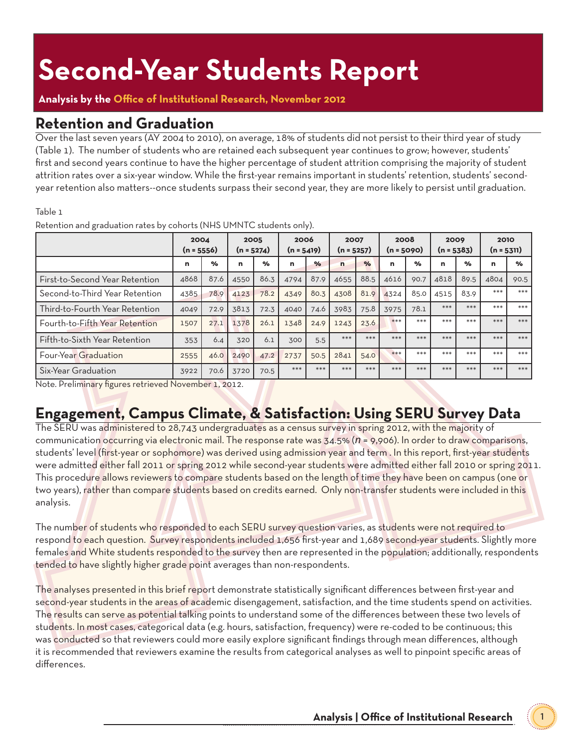## **Second-Year Students Report**

#### **Analysis by the Office of Institutional Research, November 2012**

#### **Retention and Graduation**

Over the last seven years (AY 2004 to 2010), on average, 18% of students did not persist to their third year of study (Table 1). The number of students who are retained each subsequent year continues to grow; however, students' first and second years continue to have the higher percentage of student attrition comprising the majority of student attrition rates over a six-year window. While the first-year remains important in students' retention, students' secondyear retention also matters--once students surpass their second year, they are more likely to persist until graduation.

#### Table 1

|                                | 2004<br>$(n = 5556)$ |               | 2005<br>$(n = 5274)$ |               | 2006<br>$(n = 5419)$ |               | 2007<br>$(n = 5257)$ |               | 2008<br>$(n = 5090)$ |               | 2009<br>$(n = 5383)$ |               | 2010<br>$(n = 5311)$ |       |
|--------------------------------|----------------------|---------------|----------------------|---------------|----------------------|---------------|----------------------|---------------|----------------------|---------------|----------------------|---------------|----------------------|-------|
|                                | n                    | $\frac{9}{6}$ | n                    | $\frac{9}{6}$ | n                    | $\frac{9}{6}$ | $\mathbf n$          | $\frac{9}{6}$ | n                    | $\frac{9}{6}$ | n                    | $\frac{9}{6}$ | n                    | %     |
| First-to-Second Year Retention | 4868                 | 87.6          | 4550                 | 86.3          | 4794                 | 87.9          | 4655                 | 88.5          | 4616                 | 90.7          | 4818                 | 89.5          | 4804                 | 90.5  |
| Second-to-Third Year Retention | 4385                 | 78.9          | 4123                 | 78.2          | 4349                 | 80.3          | 4308                 | 81.9          | 4324                 | 85.0          | 4515                 | 83.9          | $***$                | $***$ |
| Third-to-Fourth Year Retention | 4049                 | 72.9          | 3813                 | 72.3          | 4040                 | 74.6          | 3983                 | 75.8          | 3975                 | 78.1          | $***$                | $***$         | $***$                | $***$ |
| Fourth-to-Fifth Year Retention | 1507                 | 27.1          | 1378                 | 26.1          | 1348                 | 24.9          | 1243                 | 23.6          | $***$                | $***$         | $***$                | $***$         | ***                  | $***$ |
| Fifth-to-Sixth Year Retention  | 353                  | 6.4           | 320                  | 6.1           | 300                  | 5.5           | ***                  | $***$         | ***                  | $***$         | ***                  | ***           | $***$                | $***$ |
| <b>Four-Year Graduation</b>    | 2555                 | 46.0          | 2490                 | 47.2          | 2737                 | 50.5          | 2841                 | 54.0          | $***$                | $***$         | $***$                | $***$         | $***$                | $***$ |
| Six-Year Graduation            | 3922                 | 70.6          | 3720                 | 70.5          | $***$                | $***$         | $***$                | ***           | $***$                | $***$         | $***$                | $***$         | ***                  | ***   |

Retention and graduation rates by cohorts (NHS UMNTC students only).

Note. Preliminary figures retrieved November 1, 2012.

### **Engagement, Campus Climate, & Satisfaction: Using SERU Survey Data**

The SERU was administered to 28,743 undergraduates as a census survey in spring 2012, with the majority of communication occurring via electronic mail. The response rate was 34.5% (*n* = 9,906). In order to draw comparisons, students' level (first-year or sophomore) was derived using admission year and term . In this report, first-year students were admitted either fall 2011 or spring 2012 while second-year students were admitted either fall 2010 or spring 2011. This procedure allows reviewers to compare students based on the length of time they have been on campus (one or two years), rather than compare students based on credits earned. Only non-transfer students were included in this analysis.

The number of students who responded to each SERU survey question varies, as students were not required to respond to each question. Survey respondents included 1,656 first-year and 1,689 second-year students. Slightly more females and White students responded to the survey then are represented in the population; additionally, respondents tended to have slightly higher grade point averages than non-respondents.

The analyses presented in this brief report demonstrate statistically significant differences between first-year and second-year students in the areas of academic disengagement, satisfaction, and the time students spend on activities. The results can serve as potential talking points to understand some of the differences between these two levels of students. In most cases, categorical data (e.g. hours, satisfaction, frequency) were re-coded to be continuous; this was conducted so that reviewers could more easily explore significant findings through mean differences, although it is recommended that reviewers examine the results from categorical analyses as well to pinpoint specific areas of differences.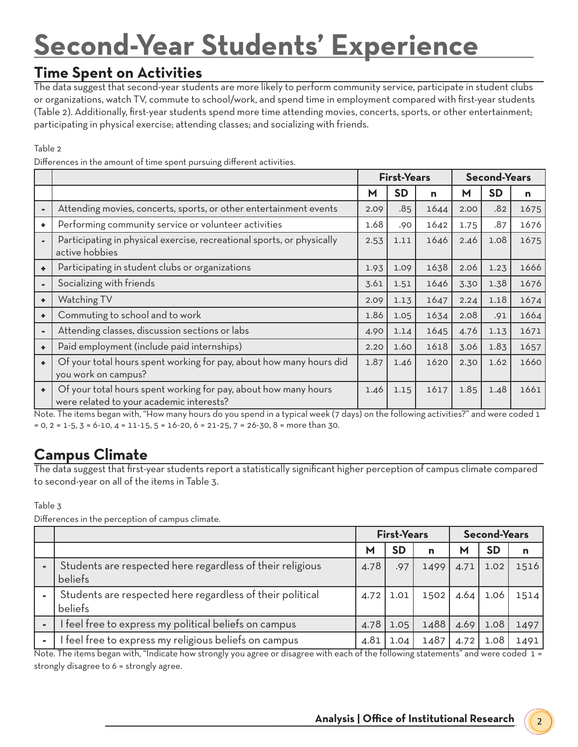# **Second-Year Students' Experience**

#### **Time Spent on Activities**

The data suggest that second-year students are more likely to perform community service, participate in student clubs or organizations, watch TV, commute to school/work, and spend time in employment compared with first-year students (Table 2). Additionally, first-year students spend more time attending movies, concerts, sports, or other entertainment; participating in physical exercise; attending classes; and socializing with friends.

Table 2

Differences in the amount of time spent pursuing different activities.

|                |                                                                                                             | <b>First-Years</b> |           |      |      | <b>Second-Years</b> |      |
|----------------|-------------------------------------------------------------------------------------------------------------|--------------------|-----------|------|------|---------------------|------|
|                |                                                                                                             | М                  | <b>SD</b> | n    | м    | <b>SD</b>           | n    |
| $\blacksquare$ | Attending movies, concerts, sports, or other entertainment events                                           | 2.09               | .85       | 1644 | 2.00 | .82                 | 1675 |
| ٠              | Performing community service or volunteer activities                                                        | 1.68               | .90       | 1642 | 1.75 | .87                 | 1676 |
|                | Participating in physical exercise, recreational sports, or physically<br>active hobbies                    | 2.53               | 1.11      | 1646 | 2.46 | 1.08                | 1675 |
| ٠              | Participating in student clubs or organizations                                                             | 1.93               | 1.09      | 1638 | 2.06 | 1.23                | 1666 |
| $\blacksquare$ | Socializing with friends                                                                                    | 3.61               | 1.51      | 1646 | 3.30 | 1.38                | 1676 |
| ٠              | Watching TV                                                                                                 | 2.09               | 1.13      | 1647 | 2.24 | 1.18                | 1674 |
| ٠              | Commuting to school and to work                                                                             | 1.86               | 1.05      | 1634 | 2.08 | .91                 | 1664 |
| $\blacksquare$ | Attending classes, discussion sections or labs                                                              | 4.90               | 1.14      | 1645 | 4.76 | 1.13                | 1671 |
| ٠              | Paid employment (include paid internships)                                                                  | 2.20               | 1.60      | 1618 | 3.06 | 1.83                | 1657 |
| ٠              | Of your total hours spent working for pay, about how many hours did<br>you work on campus?                  | 1.87               | 1.46      | 1620 | 2.30 | 1.62                | 1660 |
| ٠              | Of your total hours spent working for pay, about how many hours<br>were related to your academic interests? | 1.46               | 1.15      | 1617 | 1.85 | 1.48                | 1661 |

Note. The items began with, "How many hours do you spend in a typical week (7 days) on the following activities?" and were coded 1  $= 0, 2 = 1.5, 3 = 6.10, 4 = 11.15, 5 = 16.20, 6 = 21.25, 7 = 26.30, 8 =$  more than 30.

### **Campus Climate**

The data suggest that first-year students report a statistically significant higher perception of campus climate compared to second-year on all of the items in Table 3.

Table 3

Differences in the perception of campus climate.

|                                                                      | <b>First-Years</b> |           |      | <b>Second-Years</b> |           |      |
|----------------------------------------------------------------------|--------------------|-----------|------|---------------------|-----------|------|
|                                                                      | М                  | <b>SD</b> | n    | М                   | <b>SD</b> | n    |
| Students are respected here regardless of their religious<br>beliefs | 4.78               | .97       | 1499 | 4.71                | 1.02      | 1516 |
| Students are respected here regardless of their political<br>beliefs | 4.72               | 1.01      | 1502 | 4.64                | 1.06      | 1514 |
| I feel free to express my political beliefs on campus                | 4.78               | 1.05      | 1488 | 4.69                | 1.08      | 1497 |
| I feel free to express my religious beliefs on campus                | 4.81               | 1.04      | 1487 | 4.72                | 1.08      | 1491 |

Note. The items began with, "Indicate how strongly you agree or disagree with each of the following statements" and were coded 1 = strongly disagree to 6 = strongly agree.